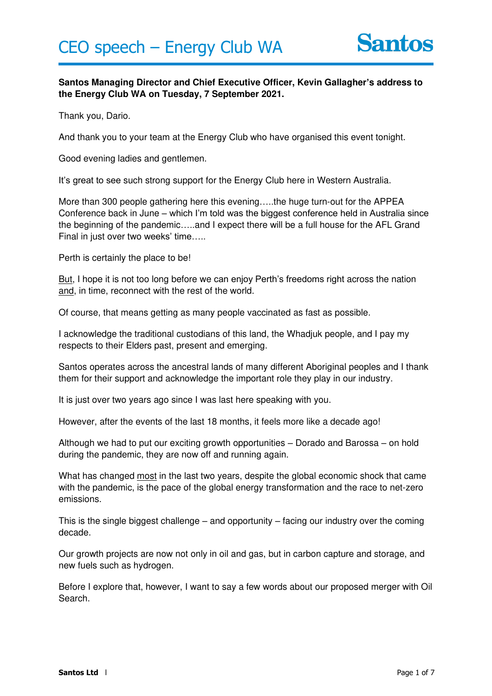

## **Santos Managing Director and Chief Executive Officer, Kevin Gallagher's address to the Energy Club WA on Tuesday, 7 September 2021.**

Thank you, Dario.

And thank you to your team at the Energy Club who have organised this event tonight.

Good evening ladies and gentlemen.

It's great to see such strong support for the Energy Club here in Western Australia.

More than 300 people gathering here this evening…..the huge turn-out for the APPEA Conference back in June – which I'm told was the biggest conference held in Australia since the beginning of the pandemic…..and I expect there will be a full house for the AFL Grand Final in just over two weeks' time…..

Perth is certainly the place to be!

But, I hope it is not too long before we can enjoy Perth's freedoms right across the nation and, in time, reconnect with the rest of the world.

Of course, that means getting as many people vaccinated as fast as possible.

I acknowledge the traditional custodians of this land, the Whadjuk people, and I pay my respects to their Elders past, present and emerging.

Santos operates across the ancestral lands of many different Aboriginal peoples and I thank them for their support and acknowledge the important role they play in our industry.

It is just over two years ago since I was last here speaking with you.

However, after the events of the last 18 months, it feels more like a decade ago!

Although we had to put our exciting growth opportunities – Dorado and Barossa – on hold during the pandemic, they are now off and running again.

What has changed most in the last two years, despite the global economic shock that came with the pandemic, is the pace of the global energy transformation and the race to net-zero emissions.

This is the single biggest challenge – and opportunity – facing our industry over the coming decade.

Our growth projects are now not only in oil and gas, but in carbon capture and storage, and new fuels such as hydrogen.

Before I explore that, however, I want to say a few words about our proposed merger with Oil Search.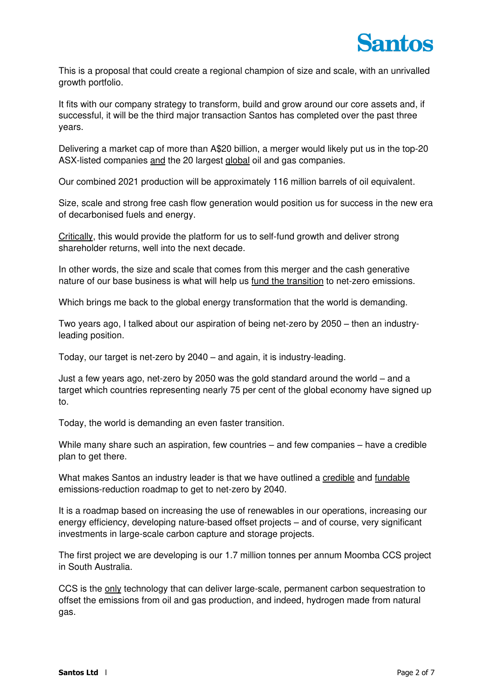This is a proposal that could create a regional champion of size and scale, with an unrivalled growth portfolio.

It fits with our company strategy to transform, build and grow around our core assets and, if successful, it will be the third major transaction Santos has completed over the past three years.

Delivering a market cap of more than A\$20 billion, a merger would likely put us in the top-20 ASX-listed companies and the 20 largest global oil and gas companies.

Our combined 2021 production will be approximately 116 million barrels of oil equivalent.

Size, scale and strong free cash flow generation would position us for success in the new era of decarbonised fuels and energy.

Critically, this would provide the platform for us to self-fund growth and deliver strong shareholder returns, well into the next decade.

In other words, the size and scale that comes from this merger and the cash generative nature of our base business is what will help us fund the transition to net-zero emissions.

Which brings me back to the global energy transformation that the world is demanding.

Two years ago, I talked about our aspiration of being net-zero by 2050 – then an industryleading position.

Today, our target is net-zero by 2040 – and again, it is industry-leading.

Just a few years ago, net-zero by 2050 was the gold standard around the world – and a target which countries representing nearly 75 per cent of the global economy have signed up to.

Today, the world is demanding an even faster transition.

While many share such an aspiration, few countries – and few companies – have a credible plan to get there.

What makes Santos an industry leader is that we have outlined a credible and fundable emissions-reduction roadmap to get to net-zero by 2040.

It is a roadmap based on increasing the use of renewables in our operations, increasing our energy efficiency, developing nature-based offset projects – and of course, very significant investments in large-scale carbon capture and storage projects.

The first project we are developing is our 1.7 million tonnes per annum Moomba CCS project in South Australia.

CCS is the only technology that can deliver large-scale, permanent carbon sequestration to offset the emissions from oil and gas production, and indeed, hydrogen made from natural gas.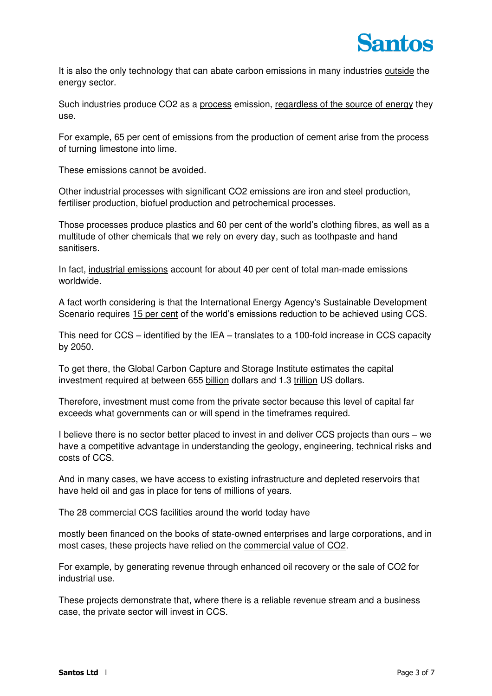It is also the only technology that can abate carbon emissions in many industries outside the energy sector.

Such industries produce CO2 as a process emission, regardless of the source of energy they use.

For example, 65 per cent of emissions from the production of cement arise from the process of turning limestone into lime.

These emissions cannot be avoided.

Other industrial processes with significant CO2 emissions are iron and steel production, fertiliser production, biofuel production and petrochemical processes.

Those processes produce plastics and 60 per cent of the world's clothing fibres, as well as a multitude of other chemicals that we rely on every day, such as toothpaste and hand sanitisers.

In fact, industrial emissions account for about 40 per cent of total man-made emissions worldwide.

A fact worth considering is that the International Energy Agency's Sustainable Development Scenario requires 15 per cent of the world's emissions reduction to be achieved using CCS.

This need for CCS – identified by the IEA – translates to a 100-fold increase in CCS capacity by 2050.

To get there, the Global Carbon Capture and Storage Institute estimates the capital investment required at between 655 billion dollars and 1.3 trillion US dollars.

Therefore, investment must come from the private sector because this level of capital far exceeds what governments can or will spend in the timeframes required.

I believe there is no sector better placed to invest in and deliver CCS projects than ours – we have a competitive advantage in understanding the geology, engineering, technical risks and costs of CCS.

And in many cases, we have access to existing infrastructure and depleted reservoirs that have held oil and gas in place for tens of millions of years.

The 28 commercial CCS facilities around the world today have

mostly been financed on the books of state-owned enterprises and large corporations, and in most cases, these projects have relied on the commercial value of CO2.

For example, by generating revenue through enhanced oil recovery or the sale of CO2 for industrial use.

These projects demonstrate that, where there is a reliable revenue stream and a business case, the private sector will invest in CCS.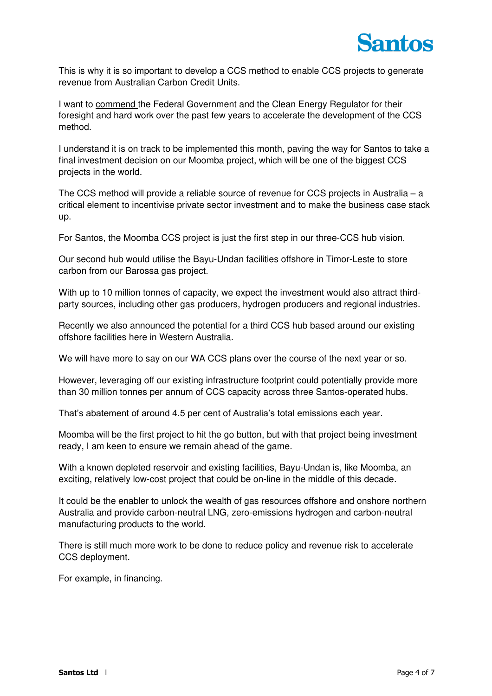

This is why it is so important to develop a CCS method to enable CCS projects to generate revenue from Australian Carbon Credit Units.

I want to commend the Federal Government and the Clean Energy Regulator for their foresight and hard work over the past few years to accelerate the development of the CCS method.

I understand it is on track to be implemented this month, paving the way for Santos to take a final investment decision on our Moomba project, which will be one of the biggest CCS projects in the world.

The CCS method will provide a reliable source of revenue for CCS projects in Australia – a critical element to incentivise private sector investment and to make the business case stack up.

For Santos, the Moomba CCS project is just the first step in our three-CCS hub vision.

Our second hub would utilise the Bayu-Undan facilities offshore in Timor-Leste to store carbon from our Barossa gas project.

With up to 10 million tonnes of capacity, we expect the investment would also attract thirdparty sources, including other gas producers, hydrogen producers and regional industries.

Recently we also announced the potential for a third CCS hub based around our existing offshore facilities here in Western Australia.

We will have more to say on our WA CCS plans over the course of the next year or so.

However, leveraging off our existing infrastructure footprint could potentially provide more than 30 million tonnes per annum of CCS capacity across three Santos-operated hubs.

That's abatement of around 4.5 per cent of Australia's total emissions each year.

Moomba will be the first project to hit the go button, but with that project being investment ready, I am keen to ensure we remain ahead of the game.

With a known depleted reservoir and existing facilities, Bayu-Undan is, like Moomba, an exciting, relatively low-cost project that could be on-line in the middle of this decade.

It could be the enabler to unlock the wealth of gas resources offshore and onshore northern Australia and provide carbon-neutral LNG, zero-emissions hydrogen and carbon-neutral manufacturing products to the world.

There is still much more work to be done to reduce policy and revenue risk to accelerate CCS deployment.

For example, in financing.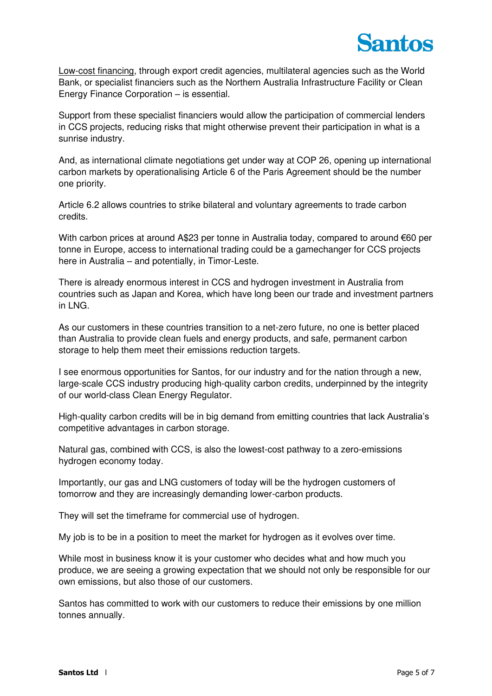

Low-cost financing, through export credit agencies, multilateral agencies such as the World Bank, or specialist financiers such as the Northern Australia Infrastructure Facility or Clean Energy Finance Corporation – is essential.

Support from these specialist financiers would allow the participation of commercial lenders in CCS projects, reducing risks that might otherwise prevent their participation in what is a sunrise industry.

And, as international climate negotiations get under way at COP 26, opening up international carbon markets by operationalising Article 6 of the Paris Agreement should be the number one priority.

Article 6.2 allows countries to strike bilateral and voluntary agreements to trade carbon credits.

With carbon prices at around A\$23 per tonne in Australia today, compared to around €60 per tonne in Europe, access to international trading could be a gamechanger for CCS projects here in Australia – and potentially, in Timor-Leste.

There is already enormous interest in CCS and hydrogen investment in Australia from countries such as Japan and Korea, which have long been our trade and investment partners in LNG.

As our customers in these countries transition to a net-zero future, no one is better placed than Australia to provide clean fuels and energy products, and safe, permanent carbon storage to help them meet their emissions reduction targets.

I see enormous opportunities for Santos, for our industry and for the nation through a new, large-scale CCS industry producing high-quality carbon credits, underpinned by the integrity of our world-class Clean Energy Regulator.

High-quality carbon credits will be in big demand from emitting countries that lack Australia's competitive advantages in carbon storage.

Natural gas, combined with CCS, is also the lowest-cost pathway to a zero-emissions hydrogen economy today.

Importantly, our gas and LNG customers of today will be the hydrogen customers of tomorrow and they are increasingly demanding lower-carbon products.

They will set the timeframe for commercial use of hydrogen.

My job is to be in a position to meet the market for hydrogen as it evolves over time.

While most in business know it is your customer who decides what and how much you produce, we are seeing a growing expectation that we should not only be responsible for our own emissions, but also those of our customers.

Santos has committed to work with our customers to reduce their emissions by one million tonnes annually.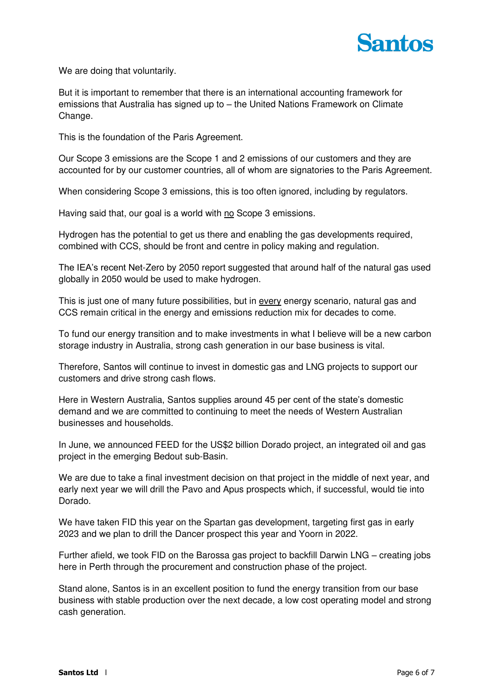

We are doing that voluntarily.

But it is important to remember that there is an international accounting framework for emissions that Australia has signed up to – the United Nations Framework on Climate Change.

This is the foundation of the Paris Agreement.

Our Scope 3 emissions are the Scope 1 and 2 emissions of our customers and they are accounted for by our customer countries, all of whom are signatories to the Paris Agreement.

When considering Scope 3 emissions, this is too often ignored, including by regulators.

Having said that, our goal is a world with no Scope 3 emissions.

Hydrogen has the potential to get us there and enabling the gas developments required, combined with CCS, should be front and centre in policy making and regulation.

The IEA's recent Net-Zero by 2050 report suggested that around half of the natural gas used globally in 2050 would be used to make hydrogen.

This is just one of many future possibilities, but in every energy scenario, natural gas and CCS remain critical in the energy and emissions reduction mix for decades to come.

To fund our energy transition and to make investments in what I believe will be a new carbon storage industry in Australia, strong cash generation in our base business is vital.

Therefore, Santos will continue to invest in domestic gas and LNG projects to support our customers and drive strong cash flows.

Here in Western Australia, Santos supplies around 45 per cent of the state's domestic demand and we are committed to continuing to meet the needs of Western Australian businesses and households.

In June, we announced FEED for the US\$2 billion Dorado project, an integrated oil and gas project in the emerging Bedout sub-Basin.

We are due to take a final investment decision on that project in the middle of next year, and early next year we will drill the Pavo and Apus prospects which, if successful, would tie into Dorado.

We have taken FID this year on the Spartan gas development, targeting first gas in early 2023 and we plan to drill the Dancer prospect this year and Yoorn in 2022.

Further afield, we took FID on the Barossa gas project to backfill Darwin LNG – creating jobs here in Perth through the procurement and construction phase of the project.

Stand alone, Santos is in an excellent position to fund the energy transition from our base business with stable production over the next decade, a low cost operating model and strong cash generation.